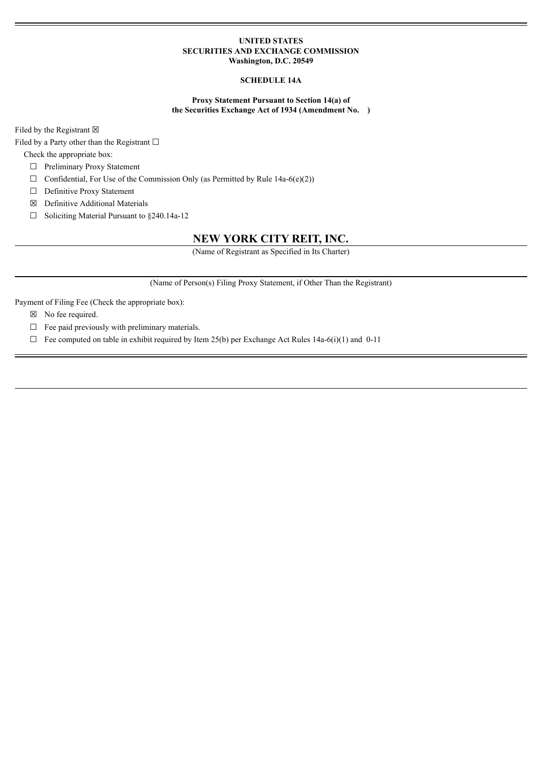## **UNITED STATES SECURITIES AND EXCHANGE COMMISSION Washington, D.C. 20549**

# **SCHEDULE 14A**

## **Proxy Statement Pursuant to Section 14(a) of the Securities Exchange Act of 1934 (Amendment No. )**

Filed by the Registrant  $\boxtimes$ 

Filed by a Party other than the Registrant  $□$ 

Check the appropriate box:

☐ Preliminary Proxy Statement

- $\Box$  Confidential, For Use of the Commission Only (as Permitted by Rule 14a-6(e)(2))
- □ Definitive Proxy Statement
- ☒ Definitive Additional Materials
- ☐ Soliciting Material Pursuant to §240.14a-12

# **NEW YORK CITY REIT, INC.**

(Name of Registrant as Specified in Its Charter)

(Name of Person(s) Filing Proxy Statement, if Other Than the Registrant)

Payment of Filing Fee (Check the appropriate box):

- ☒ No fee required.
- $\Box$  Fee paid previously with preliminary materials.
- $\Box$  Fee computed on table in exhibit required by Item 25(b) per Exchange Act Rules 14a-6(i)(1) and 0-11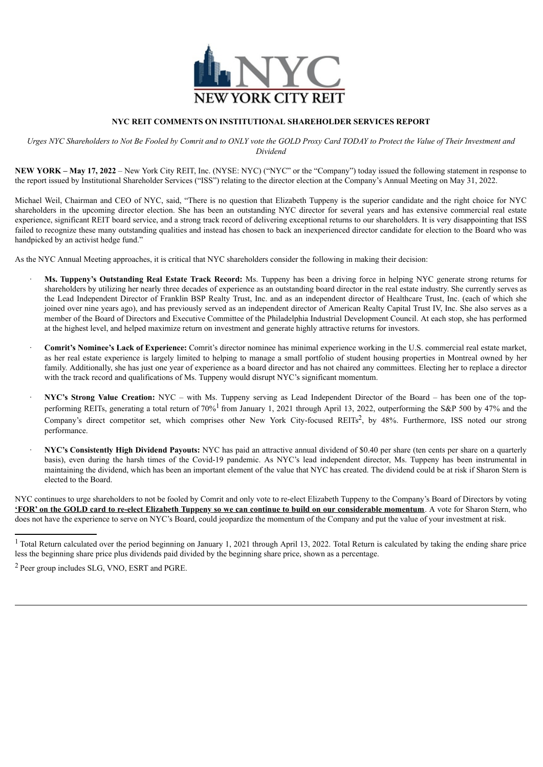

# **NYC REIT COMMENTS ON INSTITUTIONAL SHAREHOLDER SERVICES REPORT**

Urges NYC Shareholders to Not Be Fooled by Comrit and to ONLY vote the GOLD Proxy Card TODAY to Protect the Value of Their Investment and *Dividend*

**NEW YORK – May 17, 2022** – New York City REIT, Inc. (NYSE: NYC) ("NYC" or the "Company") today issued the following statement in response to the report issued by Institutional Shareholder Services ("ISS") relating to the director election at the Company's Annual Meeting on May 31, 2022.

Michael Weil, Chairman and CEO of NYC, said, "There is no question that Elizabeth Tuppeny is the superior candidate and the right choice for NYC shareholders in the upcoming director election. She has been an outstanding NYC director for several years and has extensive commercial real estate experience, significant REIT board service, and a strong track record of delivering exceptional returns to our shareholders. It is very disappointing that ISS failed to recognize these many outstanding qualities and instead has chosen to back an inexperienced director candidate for election to the Board who was handpicked by an activist hedge fund."

As the NYC Annual Meeting approaches, it is critical that NYC shareholders consider the following in making their decision:

- · **Ms. Tuppeny's Outstanding Real Estate Track Record:** Ms. Tuppeny has been a driving force in helping NYC generate strong returns for shareholders by utilizing her nearly three decades of experience as an outstanding board director in the real estate industry. She currently serves as the Lead Independent Director of Franklin BSP Realty Trust, Inc. and as an independent director of Healthcare Trust, Inc. (each of which she joined over nine years ago), and has previously served as an independent director of American Realty Capital Trust IV, Inc. She also serves as a member of the Board of Directors and Executive Committee of the Philadelphia Industrial Development Council. At each stop, she has performed at the highest level, and helped maximize return on investment and generate highly attractive returns for investors.
- · **Comrit's Nominee's Lack of Experience:** Comrit's director nominee has minimal experience working in the U.S. commercial real estate market, as her real estate experience is largely limited to helping to manage a small portfolio of student housing properties in Montreal owned by her family. Additionally, she has just one year of experience as a board director and has not chaired any committees. Electing her to replace a director with the track record and qualifications of Ms. Tuppeny would disrupt NYC's significant momentum.
- · **NYC's Strong Value Creation:** NYC with Ms. Tuppeny serving as Lead Independent Director of the Board has been one of the topperforming REITs, generating a total return of 70%<sup>1</sup> from January 1, 2021 through April 13, 2022, outperforming the S&P 500 by 47% and the Company's direct competitor set, which comprises other New York City-focused REITs<sup>2</sup>, by 48%. Furthermore, ISS noted our strong performance.
- · **NYC's Consistently High Dividend Payouts:** NYC has paid an attractive annual dividend of \$0.40 per share (ten cents per share on a quarterly basis), even during the harsh times of the Covid-19 pandemic. As NYC's lead independent director, Ms. Tuppeny has been instrumental in maintaining the dividend, which has been an important element of the value that NYC has created. The dividend could be at risk if Sharon Stern is elected to the Board.

NYC continues to urge shareholders to not be fooled by Comrit and only vote to re-elect Elizabeth Tuppeny to the Company's Board of Directors by voting **'FOR'** on the GOLD card to re-elect Elizabeth Tuppeny so we can continue to build on our considerable momentum. A vote for Sharon Stern, who does not have the experience to serve on NYC's Board, could jeopardize the momentum of the Company and put the value of your investment at risk.

<sup>&</sup>lt;sup>1</sup> Total Return calculated over the period beginning on January 1, 2021 through April 13, 2022. Total Return is calculated by taking the ending share price less the beginning share price plus dividends paid divided by the beginning share price, shown as a percentage.

<sup>2</sup> Peer group includes SLG, VNO, ESRT and PGRE.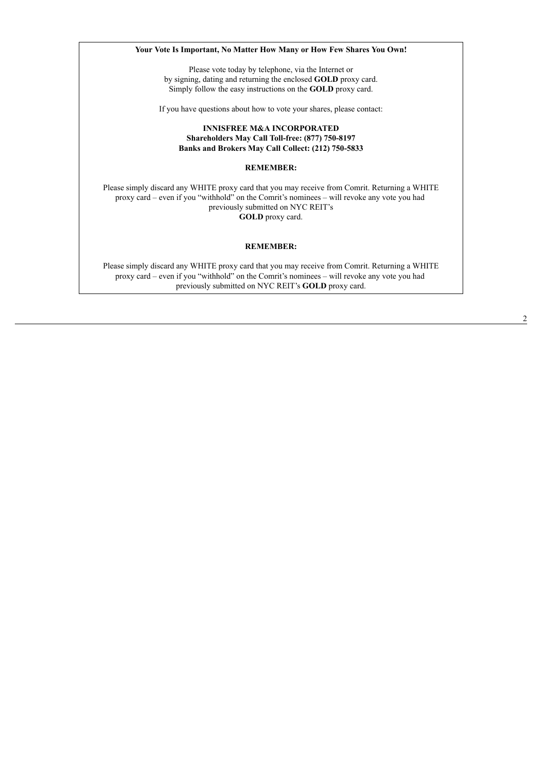**Your Vote Is Important, No Matter How Many or How Few Shares You Own!** Please vote today by telephone, via the Internet or by signing, dating and returning the enclosed **GOLD** proxy card. Simply follow the easy instructions on the **GOLD** proxy card. If you have questions about how to vote your shares, please contact: **INNISFREE M&A INCORPORATED Shareholders May Call Toll-free: (877) 750-8197 Banks and Brokers May Call Collect: (212) 750-5833 REMEMBER:** Please simply discard any WHITE proxy card that you may receive from Comrit. Returning a WHITE proxy card – even if you "withhold" on the Comrit's nominees – will revoke any vote you had previously submitted on NYC REIT's **GOLD** proxy card. **REMEMBER:** Please simply discard any WHITE proxy card that you may receive from Comrit. Returning a WHITE proxy card – even if you "withhold" on the Comrit's nominees – will revoke any vote you had

previously submitted on NYC REIT's **GOLD** proxy card.